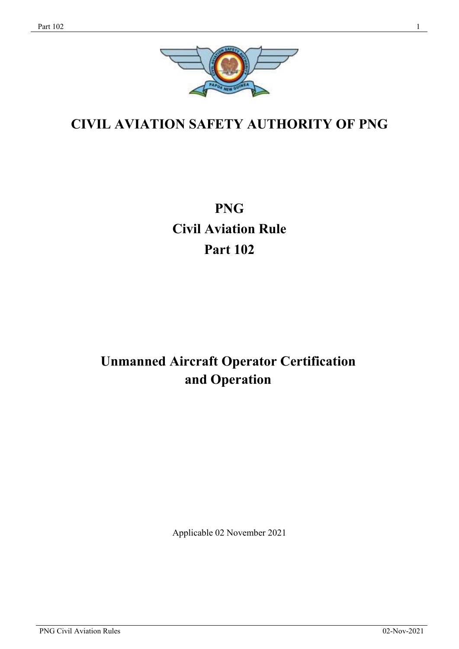

# **CIVIL AVIATION SAFETY AUTHORITY OF PNG**

# **PNG Civil Aviation Rule Part 102**

# **Unmanned Aircraft Operator Certification and Operation**

Applicable 02 November 2021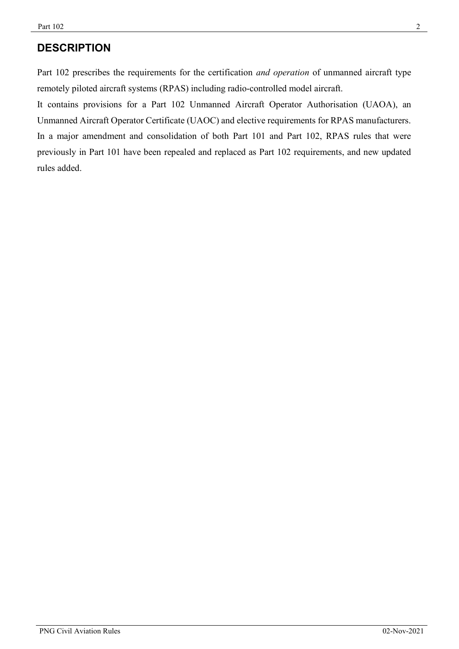## **DESCRIPTION**

Part 102 prescribes the requirements for the certification *and operation* of unmanned aircraft type remotely piloted aircraft systems (RPAS) including radio-controlled model aircraft.

It contains provisions for a Part 102 Unmanned Aircraft Operator Authorisation (UAOA), an Unmanned Aircraft Operator Certificate (UAOC) and elective requirements for RPAS manufacturers. In a major amendment and consolidation of both Part 101 and Part 102, RPAS rules that were previously in Part 101 have been repealed and replaced as Part 102 requirements, and new updated rules added.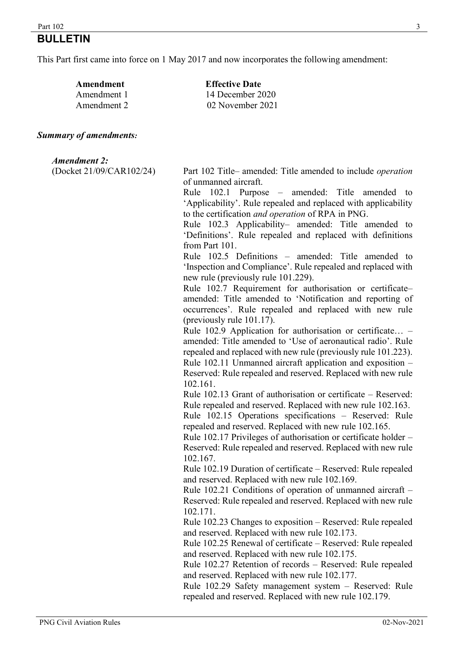#### $\frac{1}{3}$

## **BULLETIN**

This Part first came into force on 1 May 2017 and now incorporates the following amendment:

| Amendment   | <b>Effective Date</b> |  |  |
|-------------|-----------------------|--|--|
| Amendment 1 | 14 December 2020      |  |  |
| Amendment 2 | 02 November 2021      |  |  |

#### *Summary of amendments:*

#### *Amendment 2:*

(Docket 21/09/CAR102/24) Part 102 Title– amended: Title amended to include *operation* of unmanned aircraft.

> Rule 102.1 Purpose – amended: Title amended to 'Applicability'. Rule repealed and replaced with applicability to the certification *and operation* of RPA in PNG.

> Rule 102.3 Applicability– amended: Title amended to 'Definitions'. Rule repealed and replaced with definitions from Part 101.

> Rule 102.5 Definitions – amended: Title amended to 'Inspection and Compliance'. Rule repealed and replaced with new rule (previously rule 101.229).

> Rule 102.7 Requirement for authorisation or certificate– amended: Title amended to 'Notification and reporting of occurrences'. Rule repealed and replaced with new rule (previously rule 101.17).

> Rule 102.9 Application for authorisation or certificate… – amended: Title amended to 'Use of aeronautical radio'. Rule repealed and replaced with new rule (previously rule 101.223). Rule 102.11 Unmanned aircraft application and exposition – Reserved: Rule repealed and reserved. Replaced with new rule 102.161.

> Rule 102.13 Grant of authorisation or certificate – Reserved: Rule repealed and reserved. Replaced with new rule 102.163.

> Rule 102.15 Operations specifications – Reserved: Rule repealed and reserved. Replaced with new rule 102.165.

> Rule 102.17 Privileges of authorisation or certificate holder – Reserved: Rule repealed and reserved. Replaced with new rule 102.167.

> Rule 102.19 Duration of certificate – Reserved: Rule repealed and reserved. Replaced with new rule 102.169.

> Rule 102.21 Conditions of operation of unmanned aircraft – Reserved: Rule repealed and reserved. Replaced with new rule 102.171.

> Rule 102.23 Changes to exposition – Reserved: Rule repealed and reserved. Replaced with new rule 102.173.

> Rule 102.25 Renewal of certificate – Reserved: Rule repealed and reserved. Replaced with new rule 102.175.

> Rule 102.27 Retention of records – Reserved: Rule repealed and reserved. Replaced with new rule 102.177.

> Rule 102.29 Safety management system – Reserved: Rule repealed and reserved. Replaced with new rule 102.179.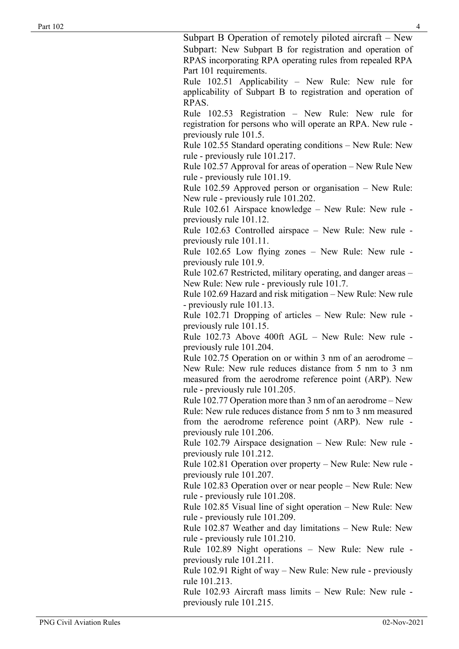Subpart B Operation of remotely piloted aircraft – New Subpart: New Subpart B for registration and operation of RPAS incorporating RPA operating rules from repealed RPA Part 101 requirements.

Rule 102.51 Applicability – New Rule: New rule for applicability of Subpart B to registration and operation of RPAS.

Rule 102.53 Registration – New Rule: New rule for registration for persons who will operate an RPA. New rule previously rule 101.5.

Rule 102.55 Standard operating conditions – New Rule: New rule - previously rule 101.217.

Rule 102.57 Approval for areas of operation – New Rule New rule - previously rule 101.19.

Rule 102.59 Approved person or organisation – New Rule: New rule - previously rule 101.202.

Rule 102.61 Airspace knowledge – New Rule: New rule previously rule 101.12.

Rule 102.63 Controlled airspace – New Rule: New rule previously rule 101.11.

Rule 102.65 Low flying zones – New Rule: New rule previously rule 101.9.

Rule 102.67 Restricted, military operating, and danger areas – New Rule: New rule - previously rule 101.7.

Rule 102.69 Hazard and risk mitigation – New Rule: New rule - previously rule 101.13.

Rule 102.71 Dropping of articles – New Rule: New rule previously rule 101.15.

Rule 102.73 Above 400ft AGL – New Rule: New rule previously rule 101.204.

Rule 102.75 Operation on or within 3 nm of an aerodrome – New Rule: New rule reduces distance from 5 nm to 3 nm measured from the aerodrome reference point (ARP). New rule - previously rule 101.205.

Rule 102.77 Operation more than 3 nm of an aerodrome – New Rule: New rule reduces distance from 5 nm to 3 nm measured from the aerodrome reference point (ARP). New rule previously rule 101.206.

Rule 102.79 Airspace designation – New Rule: New rule previously rule 101.212.

Rule 102.81 Operation over property – New Rule: New rule previously rule 101.207.

Rule 102.83 Operation over or near people – New Rule: New rule - previously rule 101.208.

Rule 102.85 Visual line of sight operation – New Rule: New rule - previously rule 101.209.

Rule 102.87 Weather and day limitations – New Rule: New rule - previously rule 101.210.

Rule 102.89 Night operations – New Rule: New rule previously rule 101.211.

Rule 102.91 Right of way – New Rule: New rule - previously rule 101.213.

Rule 102.93 Aircraft mass limits – New Rule: New rule previously rule 101.215.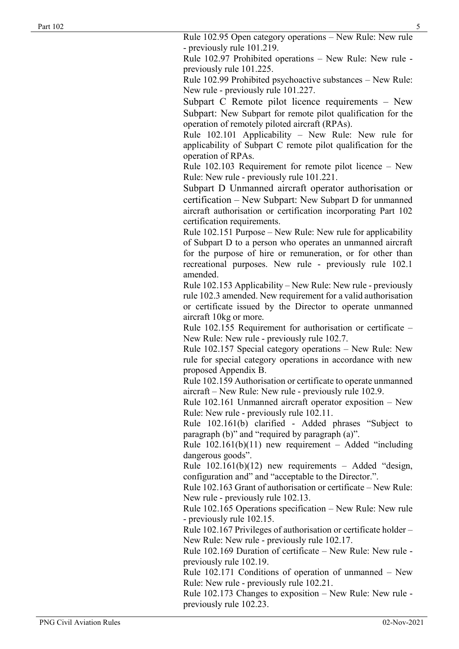Rule 102.95 Open category operations – New Rule: New rule - previously rule 101.219.

Rule 102.97 Prohibited operations – New Rule: New rule previously rule 101.225.

Rule 102.99 Prohibited psychoactive substances – New Rule: New rule - previously rule 101.227.

Subpart C Remote pilot licence requirements – New Subpart: New Subpart for remote pilot qualification for the operation of remotely piloted aircraft (RPAs).

Rule 102.101 Applicability – New Rule: New rule for applicability of Subpart C remote pilot qualification for the operation of RPAs.

Rule 102.103 Requirement for remote pilot licence – New Rule: New rule - previously rule 101.221.

Subpart D Unmanned aircraft operator authorisation or certification – New Subpart: New Subpart D for unmanned aircraft authorisation or certification incorporating Part 102 certification requirements.

Rule 102.151 Purpose – New Rule: New rule for applicability of Subpart D to a person who operates an unmanned aircraft for the purpose of hire or remuneration, or for other than recreational purposes. New rule - previously rule 102.1 amended.

Rule 102.153 Applicability – New Rule: New rule - previously rule 102.3 amended. New requirement for a valid authorisation or certificate issued by the Director to operate unmanned aircraft 10kg or more.

Rule 102.155 Requirement for authorisation or certificate – New Rule: New rule - previously rule 102.7.

Rule 102.157 Special category operations – New Rule: New rule for special category operations in accordance with new proposed Appendix B.

Rule 102.159 Authorisation or certificate to operate unmanned aircraft – New Rule: New rule - previously rule 102.9.

Rule 102.161 Unmanned aircraft operator exposition – New Rule: New rule - previously rule 102.11.

Rule 102.161(b) clarified - Added phrases "Subject to paragraph (b)" and "required by paragraph (a)".

Rule  $102.161(b)(11)$  new requirement – Added "including dangerous goods".

Rule  $102.161(b)(12)$  new requirements – Added "design, configuration and" and "acceptable to the Director.".

Rule 102.163 Grant of authorisation or certificate – New Rule: New rule - previously rule 102.13.

Rule 102.165 Operations specification – New Rule: New rule - previously rule 102.15.

Rule 102.167 Privileges of authorisation or certificate holder – New Rule: New rule - previously rule 102.17.

Rule 102.169 Duration of certificate – New Rule: New rule previously rule 102.19.

Rule 102.171 Conditions of operation of unmanned – New Rule: New rule - previously rule 102.21.

Rule 102.173 Changes to exposition – New Rule: New rule previously rule 102.23.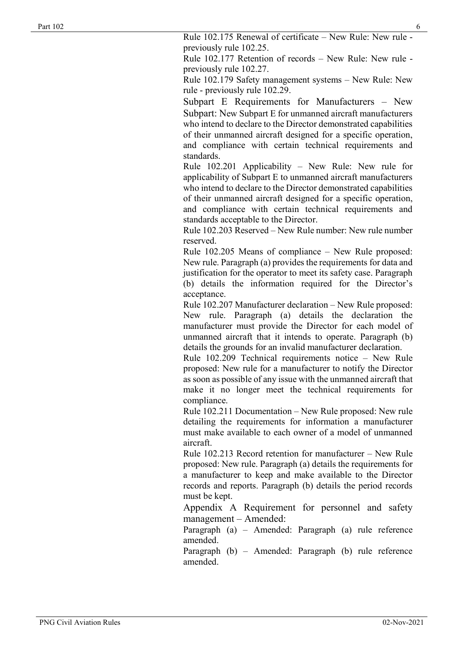Rule 102.175 Renewal of certificate – New Rule: New rule previously rule 102.25.

Rule 102.177 Retention of records – New Rule: New rule previously rule 102.27.

Rule 102.179 Safety management systems – New Rule: New rule - previously rule 102.29.

Subpart E Requirements for Manufacturers – New Subpart: New Subpart E for unmanned aircraft manufacturers who intend to declare to the Director demonstrated capabilities of their unmanned aircraft designed for a specific operation, and compliance with certain technical requirements and standards.

Rule 102.201 Applicability – New Rule: New rule for applicability of Subpart E to unmanned aircraft manufacturers who intend to declare to the Director demonstrated capabilities of their unmanned aircraft designed for a specific operation, and compliance with certain technical requirements and standards acceptable to the Director.

Rule 102.203 Reserved – New Rule number: New rule number reserved.

Rule 102.205 Means of compliance – New Rule proposed: New rule. Paragraph (a) provides the requirements for data and justification for the operator to meet its safety case. Paragraph (b) details the information required for the Director's acceptance.

Rule 102.207 Manufacturer declaration – New Rule proposed: New rule. Paragraph (a) details the declaration the manufacturer must provide the Director for each model of unmanned aircraft that it intends to operate. Paragraph (b) details the grounds for an invalid manufacturer declaration.

Rule 102.209 Technical requirements notice – New Rule proposed: New rule for a manufacturer to notify the Director as soon as possible of any issue with the unmanned aircraft that make it no longer meet the technical requirements for compliance.

Rule 102.211 Documentation – New Rule proposed: New rule detailing the requirements for information a manufacturer must make available to each owner of a model of unmanned aircraft.

Rule 102.213 Record retention for manufacturer – New Rule proposed: New rule. Paragraph (a) details the requirements for a manufacturer to keep and make available to the Director records and reports. Paragraph (b) details the period records must be kept.

Appendix A Requirement for personnel and safety management – Amended:

Paragraph (a) – Amended: Paragraph (a) rule reference amended.

Paragraph (b) – Amended: Paragraph (b) rule reference amended.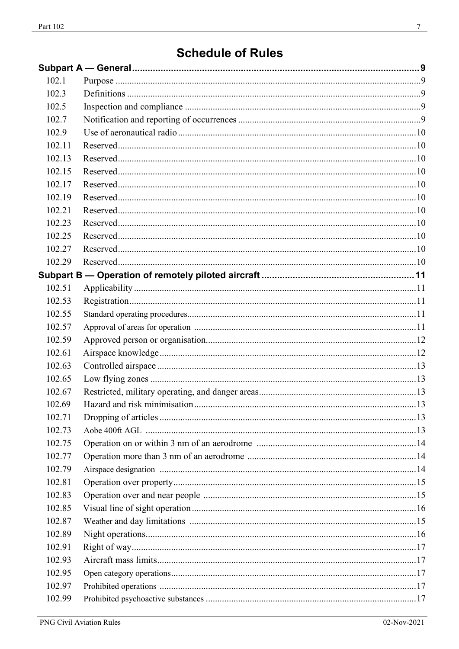| 102.1  |  |
|--------|--|
| 102.3  |  |
| 102.5  |  |
| 102.7  |  |
| 102.9  |  |
| 102.11 |  |
| 102.13 |  |
| 102.15 |  |
| 102.17 |  |
| 102.19 |  |
| 102.21 |  |
| 102.23 |  |
| 102.25 |  |
| 102.27 |  |
| 102.29 |  |
|        |  |
| 102.51 |  |
| 102.53 |  |
| 102.55 |  |
| 102.57 |  |
| 102.59 |  |
| 102.61 |  |
| 102.63 |  |
| 102.65 |  |
| 102.67 |  |
| 102.69 |  |
| 102.71 |  |
| 102.73 |  |
| 102.75 |  |
| 102.77 |  |
| 102.79 |  |
| 102.81 |  |
| 102.83 |  |
| 102.85 |  |
| 102.87 |  |
| 102.89 |  |
| 102.91 |  |
| 102.93 |  |
| 102.95 |  |
| 102.97 |  |
| 102.99 |  |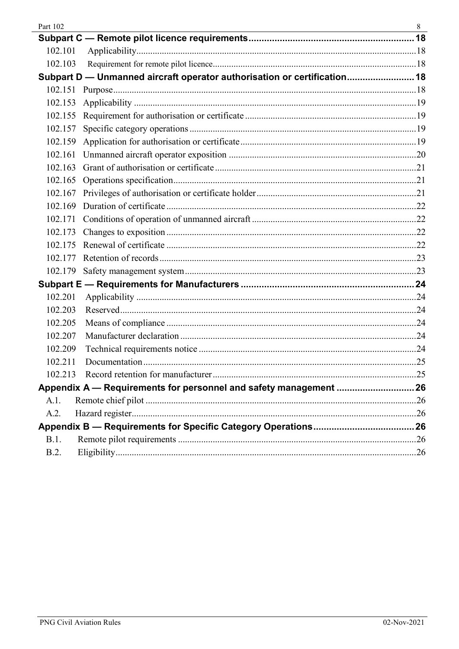| Part 102 |                                                                          | 8 |
|----------|--------------------------------------------------------------------------|---|
|          |                                                                          |   |
| 102.101  |                                                                          |   |
| 102.103  |                                                                          |   |
|          | Subpart D - Unmanned aircraft operator authorisation or certification 18 |   |
|          |                                                                          |   |
| 102.153  |                                                                          |   |
| 102.155  |                                                                          |   |
| 102.157  |                                                                          |   |
| 102.159  |                                                                          |   |
|          |                                                                          |   |
| 102.163  |                                                                          |   |
|          |                                                                          |   |
| 102.167  |                                                                          |   |
|          |                                                                          |   |
|          |                                                                          |   |
| 102.173  |                                                                          |   |
| 102.175  |                                                                          |   |
| 102.177  |                                                                          |   |
|          |                                                                          |   |
|          |                                                                          |   |
| 102.201  |                                                                          |   |
| 102.203  |                                                                          |   |
| 102.205  |                                                                          |   |
| 102.207  |                                                                          |   |
| 102.209  |                                                                          |   |
| 102.211  |                                                                          |   |
| 102.213  |                                                                          |   |
|          | Appendix A - Requirements for personnel and safety management  26        |   |
| A.1.     |                                                                          |   |
| A.2.     |                                                                          |   |
|          |                                                                          |   |
| B.1.     |                                                                          |   |
| B.2.     |                                                                          |   |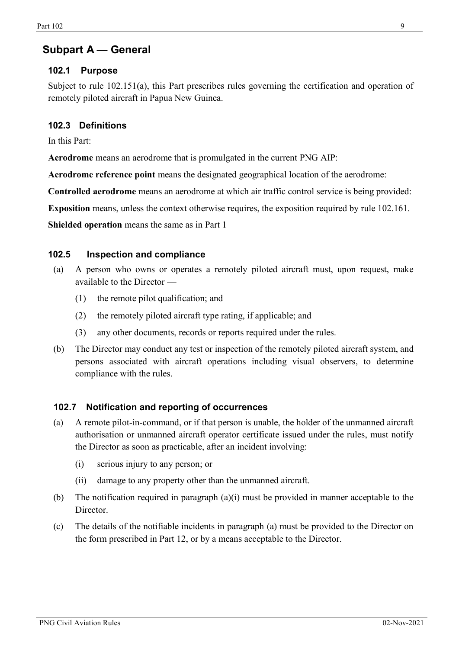## <span id="page-8-0"></span>**Subpart A — General**

## <span id="page-8-1"></span>**102.1 Purpose**

Subject to rule 102.151(a), this Part prescribes rules governing the certification and operation of remotely piloted aircraft in Papua New Guinea.

## <span id="page-8-2"></span>**102.3 Definitions**

In this Part:

**Aerodrome** means an aerodrome that is promulgated in the current PNG AIP:

**Aerodrome reference point** means the designated geographical location of the aerodrome:

**Controlled aerodrome** means an aerodrome at which air traffic control service is being provided:

**Exposition** means, unless the context otherwise requires, the exposition required by rule 102.161.

**Shielded operation** means the same as in Part 1

## **102.5 Inspection and compliance**

- <span id="page-8-3"></span>(a) A person who owns or operates a remotely piloted aircraft must, upon request, make available to the Director —
	- (1) the remote pilot qualification; and
	- (2) the remotely piloted aircraft type rating, if applicable; and
	- (3) any other documents, records or reports required under the rules.
- (b) The Director may conduct any test or inspection of the remotely piloted aircraft system, and persons associated with aircraft operations including visual observers, to determine compliance with the rules.

## <span id="page-8-4"></span>**102.7 Notification and reporting of occurrences**

- (a) A remote pilot-in-command, or if that person is unable, the holder of the unmanned aircraft authorisation or unmanned aircraft operator certificate issued under the rules, must notify the Director as soon as practicable, after an incident involving:
	- (i) serious injury to any person; or
	- (ii) damage to any property other than the unmanned aircraft.
- (b) The notification required in paragraph (a)(i) must be provided in manner acceptable to the Director.
- (c) The details of the notifiable incidents in paragraph (a) must be provided to the Director on the form prescribed in Part 12, or by a means acceptable to the Director.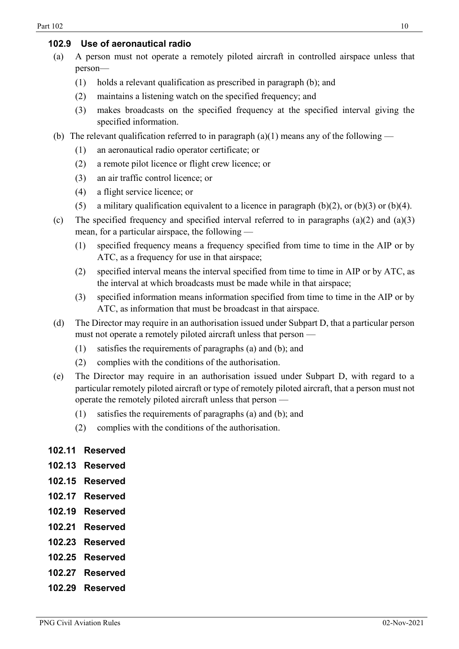## <span id="page-9-0"></span>**102.9 Use of aeronautical radio**

- (a) A person must not operate a remotely piloted aircraft in controlled airspace unless that person—
	- (1) holds a relevant qualification as prescribed in paragraph (b); and
	- (2) maintains a listening watch on the specified frequency; and
	- (3) makes broadcasts on the specified frequency at the specified interval giving the specified information.
- (b) The relevant qualification referred to in paragraph (a)(1) means any of the following
	- (1) an aeronautical radio operator certificate; or
	- (2) a remote pilot licence or flight crew licence; or
	- (3) an air traffic control licence; or
	- (4) a flight service licence; or
	- (5) a military qualification equivalent to a licence in paragraph  $(b)(2)$ , or  $(b)(3)$  or  $(b)(4)$ .
- (c) The specified frequency and specified interval referred to in paragraphs  $(a)(2)$  and  $(a)(3)$ mean, for a particular airspace, the following —
	- (1) specified frequency means a frequency specified from time to time in the AIP or by ATC, as a frequency for use in that airspace;
	- (2) specified interval means the interval specified from time to time in AIP or by ATC, as the interval at which broadcasts must be made while in that airspace;
	- (3) specified information means information specified from time to time in the AIP or by ATC, as information that must be broadcast in that airspace.
- (d) The Director may require in an authorisation issued under Subpart D, that a particular person must not operate a remotely piloted aircraft unless that person —
	- (1) satisfies the requirements of paragraphs (a) and (b); and
	- (2) complies with the conditions of the authorisation.
- (e) The Director may require in an authorisation issued under Subpart D, with regard to a particular remotely piloted aircraft or type of remotely piloted aircraft, that a person must not operate the remotely piloted aircraft unless that person —
	- (1) satisfies the requirements of paragraphs (a) and (b); and
	- (2) complies with the conditions of the authorisation.

#### <span id="page-9-1"></span>**102.11 Reserved**

- <span id="page-9-2"></span>**102.13 Reserved**
- <span id="page-9-3"></span>**102.15 Reserved**
- <span id="page-9-4"></span>**102.17 Reserved**
- <span id="page-9-5"></span>**102.19 Reserved**
- <span id="page-9-6"></span>**102.21 Reserved**
- **102.23 Reserved**
- <span id="page-9-7"></span>**102.25 Reserved**
- <span id="page-9-8"></span>**102.27 Reserved**
- <span id="page-9-9"></span>**102.29 Reserved**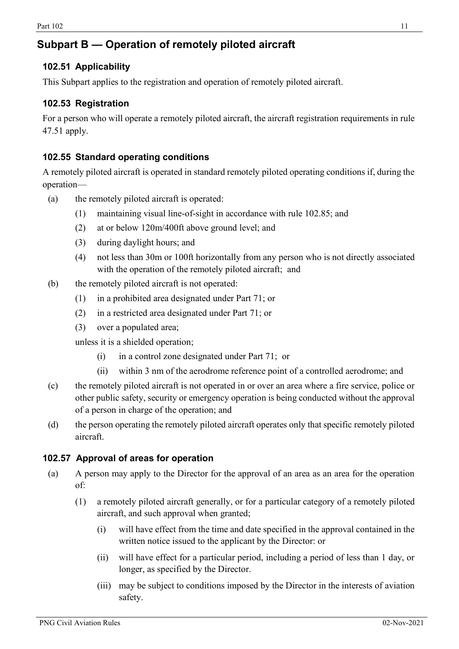## <span id="page-10-0"></span>**Subpart B — Operation of remotely piloted aircraft**

## <span id="page-10-1"></span>**102.51 Applicability**

This Subpart applies to the registration and operation of remotely piloted aircraft.

## <span id="page-10-2"></span>**102.53 Registration**

For a person who will operate a remotely piloted aircraft, the aircraft registration requirements in rule 47.51 apply.

## **102.55 Standard operating conditions**

A remotely piloted aircraft is operated in standard remotely piloted operating conditions if, during the operation—

- (a) the remotely piloted aircraft is operated:
	- (1) maintaining visual line-of-sight in accordance with rule 102.85; and
	- (2) at or below 120m/400ft above ground level; and
	- (3) during daylight hours; and
	- (4) not less than 30m or 100ft horizontally from any person who is not directly associated with the operation of the remotely piloted aircraft; and
- (b) the remotely piloted aircraft is not operated:
	- (1) in a prohibited area designated under Part 71; or
	- (2) in a restricted area designated under Part 71; or
	- (3) over a populated area;

unless it is a shielded operation;

- (i) in a control zone designated under Part 71; or
- (ii) within 3 nm of the aerodrome reference point of a controlled aerodrome; and
- (c) the remotely piloted aircraft is not operated in or over an area where a fire service, police or other public safety, security or emergency operation is being conducted without the approval of a person in charge of the operation; and
- (d) the person operating the remotely piloted aircraft operates only that specific remotely piloted aircraft.

## **102.57 Approval of areas for operation**

- (a) A person may apply to the Director for the approval of an area as an area for the operation of:
	- (1) a remotely piloted aircraft generally, or for a particular category of a remotely piloted aircraft, and such approval when granted;
		- (i) will have effect from the time and date specified in the approval contained in the written notice issued to the applicant by the Director: or
		- (ii) will have effect for a particular period, including a period of less than 1 day, or longer, as specified by the Director.
		- (iii) may be subject to conditions imposed by the Director in the interests of aviation safety.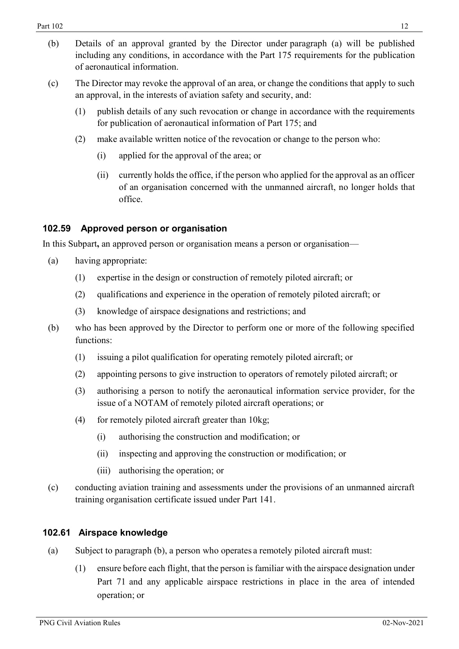- (c) The Director may revoke the approval of an area, or change the conditions that apply to such an approval, in the interests of aviation safety and security, and:
	- (1) publish details of any such revocation or change in accordance with the requirements for publication of aeronautical information of Part 175; and
	- (2) make available written notice of the revocation or change to the person who:
		- (i) applied for the approval of the area; or
		- (ii) currently holds the office, if the person who applied for the approval as an officer of an organisation concerned with the unmanned aircraft, no longer holds that office.

## <span id="page-11-0"></span>**102.59 Approved person or organisation**

In this Subpart**,** an approved person or organisation means a person or organisation—

- (a) having appropriate:
	- (1) expertise in the design or construction of remotely piloted aircraft; or
	- (2) qualifications and experience in the operation of remotely piloted aircraft; or
	- (3) knowledge of airspace designations and restrictions; and
- (b) who has been approved by the Director to perform one or more of the following specified functions:
	- (1) issuing a pilot qualification for operating remotely piloted aircraft; or
	- (2) appointing persons to give instruction to operators of remotely piloted aircraft; or
	- (3) authorising a person to notify the aeronautical information service provider, for the issue of a NOTAM of remotely piloted aircraft operations; or
	- (4) for remotely piloted aircraft greater than 10kg;
		- (i) authorising the construction and modification; or
		- (ii) inspecting and approving the construction or modification; or
		- (iii) authorising the operation; or
- (c) conducting aviation training and assessments under the provisions of an unmanned aircraft training organisation certificate issued under Part 141.

## <span id="page-11-1"></span>**102.61 Airspace knowledge**

- (a) Subject to paragraph (b), a person who operates a remotely piloted aircraft must:
	- (1) ensure before each flight, that the person is familiar with the airspace designation under Part 71 and any applicable airspace restrictions in place in the area of intended operation; or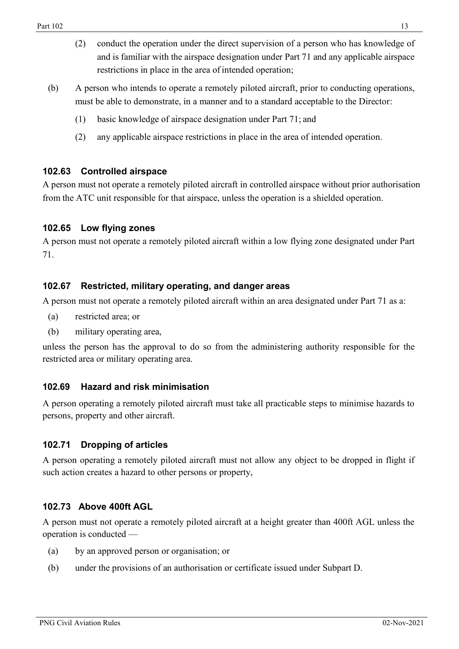- (2) conduct the operation under the direct supervision of a person who has knowledge of and is familiar with the airspace designation under Part 71 and any applicable airspace restrictions in place in the area of intended operation;
- (b) A person who intends to operate a remotely piloted aircraft, prior to conducting operations, must be able to demonstrate, in a manner and to a standard acceptable to the Director:
	- (1) basic knowledge of airspace designation under Part 71; and
	- (2) any applicable airspace restrictions in place in the area of intended operation.

## <span id="page-12-0"></span>**102.63 Controlled airspace**

A person must not operate a remotely piloted aircraft in controlled airspace without prior authorisation from the ATC unit responsible for that airspace, unless the operation is a shielded operation.

## <span id="page-12-1"></span>**102.65 Low flying zones**

A person must not operate a remotely piloted aircraft within a low flying zone designated under Part 71.

## <span id="page-12-2"></span>**102.67 Restricted, military operating, and danger areas**

A person must not operate a remotely piloted aircraft within an area designated under Part 71 as a:

- (a) restricted area; or
- (b) military operating area,

unless the person has the approval to do so from the administering authority responsible for the restricted area or military operating area.

## <span id="page-12-3"></span>**102.69 Hazard and risk minimisation**

A person operating a remotely piloted aircraft must take all practicable steps to minimise hazards to persons, property and other aircraft.

## <span id="page-12-4"></span>**102.71 Dropping of articles**

A person operating a remotely piloted aircraft must not allow any object to be dropped in flight if such action creates a hazard to other persons or property,

## **102.73 Above 400ft AGL**

A person must not operate a remotely piloted aircraft at a height greater than 400ft AGL unless the operation is conducted —

- (a) by an approved person or organisation; or
- (b) under the provisions of an authorisation or certificate issued under Subpart D.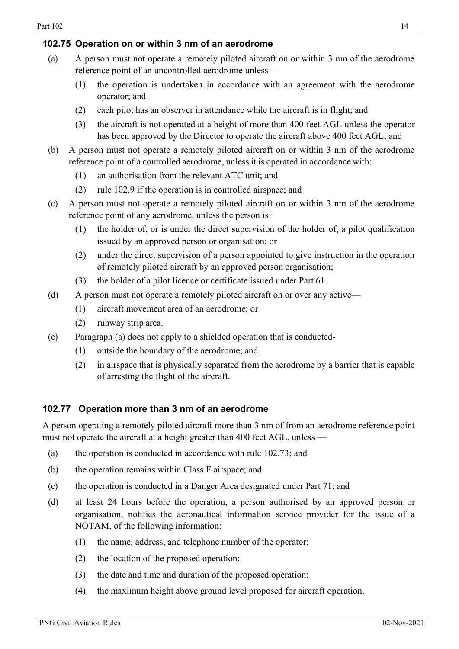## <span id="page-13-0"></span>**102.75 Operation on or within 3 nm of an aerodrome**

- (a) A person must not operate a remotely piloted aircraft on or within 3 nm of the aerodrome reference point of an uncontrolled aerodrome unless—
	- (1) the operation is undertaken in accordance with an agreement with the aerodrome operator; and
	- (2) each pilot has an observer in attendance while the aircraft is in flight; and
	- (3) the aircraft is not operated at a height of more than 400 feet AGL unless the operator has been approved by the Director to operate the aircraft above 400 feet AGL; and
- (b) A person must not operate a remotely piloted aircraft on or within 3 nm of the aerodrome reference point of a controlled aerodrome, unless it is operated in accordance with:
	- (1) an authorisation from the relevant ATC unit; and
	- (2) rule 102.9 if the operation is in controlled airspace; and
- (c) A person must not operate a remotely piloted aircraft on or within 3 nm of the aerodrome reference point of any aerodrome, unless the person is:
	- (1) the holder of, or is under the direct supervision of the holder of, a pilot qualification issued by an approved person or organisation; or
	- (2) under the direct supervision of a person appointed to give instruction in the operation of remotely piloted aircraft by an approved person organisation;
	- (3) the holder of a pilot licence or certificate issued under Part 61.
- (d) A person must not operate a remotely piloted aircraft on or over any active—
	- (1) aircraft movement area of an aerodrome; or
	- (2) runway strip area.
- (e) Paragraph (a) does not apply to a shielded operation that is conducted-
	- (1) outside the boundary of the aerodrome; and
	- (2) in airspace that is physically separated from the aerodrome by a barrier that is capable of arresting the flight of the aircraft.

## **102.77 Operation more than 3 nm of an aerodrome**

A person operating a remotely piloted aircraft more than 3 nm of from an aerodrome reference point must not operate the aircraft at a height greater than 400 feet AGL, unless —

- (a) the operation is conducted in accordance with rule 102.73; and
- (b) the operation remains within Class F airspace; and
- (c) the operation is conducted in a Danger Area designated under Part 71; and
- (d) at least 24 hours before the operation, a person authorised by an approved person or organisation, notifies the aeronautical information service provider for the issue of a NOTAM, of the following information:
	- (1) the name, address, and telephone number of the operator:
	- (2) the location of the proposed operation:
	- (3) the date and time and duration of the proposed operation:
	- (4) the maximum height above ground level proposed for aircraft operation.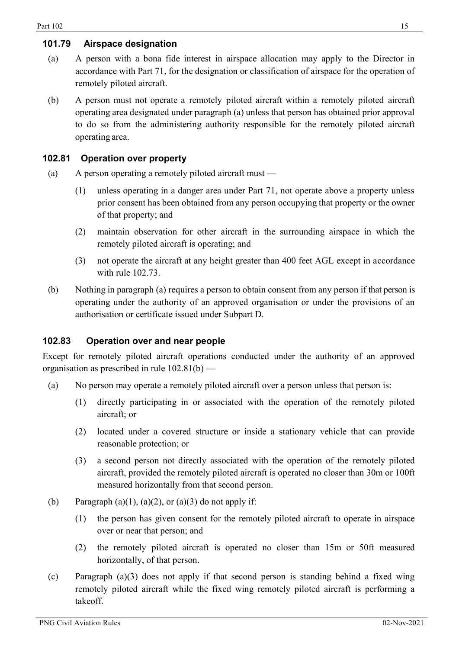## **101.79 Airspace designation**

- (a) A person with a bona fide interest in airspace allocation may apply to the Director in accordance with Part 71, for the designation or classification of airspace for the operation of remotely piloted aircraft.
- (b) A person must not operate a remotely piloted aircraft within a remotely piloted aircraft operating area designated under paragraph (a) unless that person has obtained prior approval to do so from the administering authority responsible for the remotely piloted aircraft operating area.

## <span id="page-14-0"></span>**102.81 Operation over property**

- (a) A person operating a remotely piloted aircraft must
	- (1) unless operating in a danger area under Part 71, not operate above a property unless prior consent has been obtained from any person occupying that property or the owner of that property; and
	- (2) maintain observation for other aircraft in the surrounding airspace in which the remotely piloted aircraft is operating; and
	- (3) not operate the aircraft at any height greater than 400 feet AGL except in accordance with rule 102.73.
- (b) Nothing in paragraph (a) requires a person to obtain consent from any person if that person is operating under the authority of an approved organisation or under the provisions of an authorisation or certificate issued under Subpart D.

## **102.83 Operation over and near people**

Except for remotely piloted aircraft operations conducted under the authority of an approved organisation as prescribed in rule 102.81(b) —

- (a) No person may operate a remotely piloted aircraft over a person unless that person is:
	- (1) directly participating in or associated with the operation of the remotely piloted aircraft; or
	- (2) located under a covered structure or inside a stationary vehicle that can provide reasonable protection; or
	- (3) a second person not directly associated with the operation of the remotely piloted aircraft, provided the remotely piloted aircraft is operated no closer than 30m or 100ft measured horizontally from that second person.
- (b) Paragraph  $(a)(1)$ ,  $(a)(2)$ , or  $(a)(3)$  do not apply if:
	- (1) the person has given consent for the remotely piloted aircraft to operate in airspace over or near that person; and
	- (2) the remotely piloted aircraft is operated no closer than 15m or 50ft measured horizontally, of that person.
- (c) Paragraph (a)(3) does not apply if that second person is standing behind a fixed wing remotely piloted aircraft while the fixed wing remotely piloted aircraft is performing a takeoff.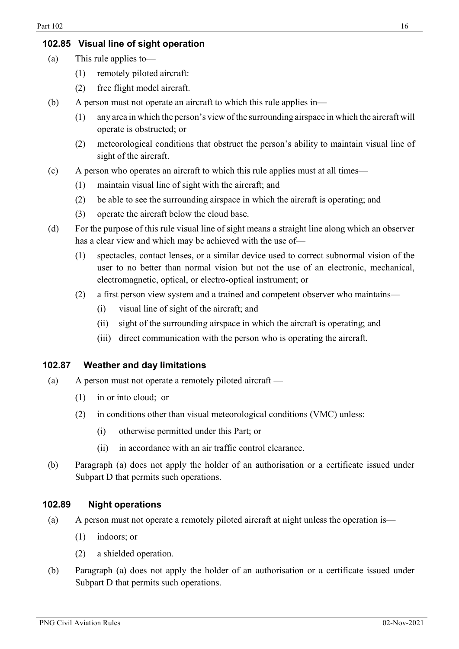## <span id="page-15-0"></span>**102.85 Visual line of sight operation**

- (a) This rule applies to—
	- (1) remotely piloted aircraft:
	- (2) free flight model aircraft.
- (b) A person must not operate an aircraft to which this rule applies in—
	- (1) any area in which the person's view ofthe surrounding airspace in which the aircraft will operate is obstructed; or
	- (2) meteorological conditions that obstruct the person's ability to maintain visual line of sight of the aircraft.
- (c) A person who operates an aircraft to which this rule applies must at all times—
	- (1) maintain visual line of sight with the aircraft; and
	- (2) be able to see the surrounding airspace in which the aircraft is operating; and
	- (3) operate the aircraft below the cloud base.
- (d) For the purpose of this rule visual line of sight means a straight line along which an observer has a clear view and which may be achieved with the use of—
	- (1) spectacles, contact lenses, or a similar device used to correct subnormal vision of the user to no better than normal vision but not the use of an electronic, mechanical, electromagnetic, optical, or electro-optical instrument; or
	- (2) a first person view system and a trained and competent observer who maintains—
		- (i) visual line of sight of the aircraft; and
		- (ii) sight of the surrounding airspace in which the aircraft is operating; and
		- (iii) direct communication with the person who is operating the aircraft.

#### **102.87 Weather and day limitations**

- (a) A person must not operate a remotely piloted aircraft
	- (1) in or into cloud; or
	- (2) in conditions other than visual meteorological conditions (VMC) unless:
		- (i) otherwise permitted under this Part; or
		- (ii) in accordance with an air traffic control clearance.
- (b) Paragraph (a) does not apply the holder of an authorisation or a certificate issued under Subpart D that permits such operations.

#### **102.89 Night operations**

- <span id="page-15-1"></span>(a) A person must not operate a remotely piloted aircraft at night unless the operation is—
	- (1) indoors; or
	- (2) a shielded operation.
- (b) Paragraph (a) does not apply the holder of an authorisation or a certificate issued under Subpart D that permits such operations.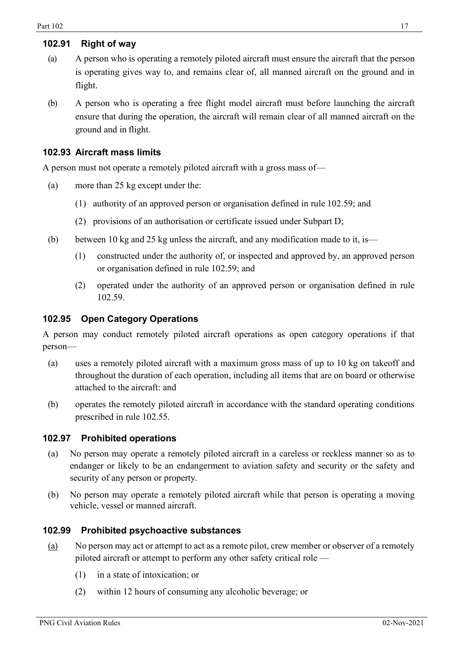## <span id="page-16-0"></span>**102.91 Right of way**

- (a) A person who is operating a remotely piloted aircraft must ensure the aircraft that the person is operating gives way to, and remains clear of, all manned aircraft on the ground and in flight.
- (b) A person who is operating a free flight model aircraft must before launching the aircraft ensure that during the operation, the aircraft will remain clear of all manned aircraft on the ground and in flight.

## <span id="page-16-1"></span>**102.93 Aircraft mass limits**

A person must not operate a remotely piloted aircraft with a gross mass of—

- (a) more than 25 kg except under the:
	- (1) authority of an approved person or organisation defined in rule 102.59; and
	- (2) provisions of an authorisation or certificate issued under Subpart D;
- (b) between 10 kg and 25 kg unless the aircraft, and any modification made to it, is—
	- (1) constructed under the authority of, or inspected and approved by, an approved person or organisation defined in rule 102.59; and
	- (2) operated under the authority of an approved person or organisation defined in rule 102.59.

#### **102.95 Open Category Operations**

A person may conduct remotely piloted aircraft operations as open category operations if that person—

- (a) uses a remotely piloted aircraft with a maximum gross mass of up to 10 kg on takeoff and throughout the duration of each operation, including all items that are on board or otherwise attached to the aircraft: and
- (b) operates the remotely piloted aircraft in accordance with the standard operating conditions prescribed in rule 102.55.

#### **102.97 Prohibited operations**

- (a) No person may operate a remotely piloted aircraft in a careless or reckless manner so as to endanger or likely to be an endangerment to aviation safety and security or the safety and security of any person or property.
- (b) No person may operate a remotely piloted aircraft while that person is operating a moving vehicle, vessel or manned aircraft.

#### **102.99 Prohibited psychoactive substances**

- (a) No person may act or attempt to act as a remote pilot, crew member or observer of a remotely piloted aircraft or attempt to perform any other safety critical role —
	- (1) in a state of intoxication; or
	- (2) within 12 hours of consuming any alcoholic beverage; or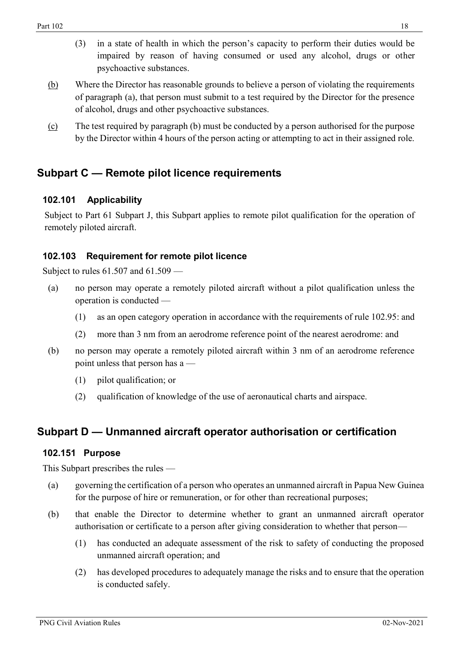- (3) in a state of health in which the person's capacity to perform their duties would be impaired by reason of having consumed or used any alcohol, drugs or other psychoactive substances.
- (b) Where the Director has reasonable grounds to believe a person of violating the requirements of paragraph (a), that person must submit to a test required by the Director for the presence of alcohol, drugs and other psychoactive substances.
- (c) The test required by paragraph (b) must be conducted by a person authorised for the purpose by the Director within 4 hours of the person acting or attempting to act in their assigned role.

## <span id="page-17-0"></span>**Subpart C — Remote pilot licence requirements**

## <span id="page-17-1"></span>**102.101 Applicability**

Subject to Part 61 Subpart J, this Subpart applies to remote pilot qualification for the operation of remotely piloted aircraft.

## **102.103 Requirement for remote pilot licence**

Subject to rules 61.507 and 61.509 —

- (a) no person may operate a remotely piloted aircraft without a pilot qualification unless the operation is conducted —
	- (1) as an open category operation in accordance with the requirements of rule 102.95: and
	- (2) more than 3 nm from an aerodrome reference point of the nearest aerodrome: and
- (b) no person may operate a remotely piloted aircraft within 3 nm of an aerodrome reference point unless that person has a —
	- (1) pilot qualification; or
	- (2) qualification of knowledge of the use of aeronautical charts and airspace.

## <span id="page-17-2"></span>**Subpart D — Unmanned aircraft operator authorisation or certification**

#### <span id="page-17-3"></span>**102.151 Purpose**

This Subpart prescribes the rules —

- (a) governing the certification of a person who operates an unmanned aircraft in Papua New Guinea for the purpose of hire or remuneration, or for other than recreational purposes;
- <span id="page-17-4"></span>(b) that enable the Director to determine whether to grant an unmanned aircraft operator authorisation or certificate to a person after giving consideration to whether that person—
	- (1) has conducted an adequate assessment of the risk to safety of conducting the proposed unmanned aircraft operation; and
	- (2) has developed procedures to adequately manage the risks and to ensure that the operation is conducted safely.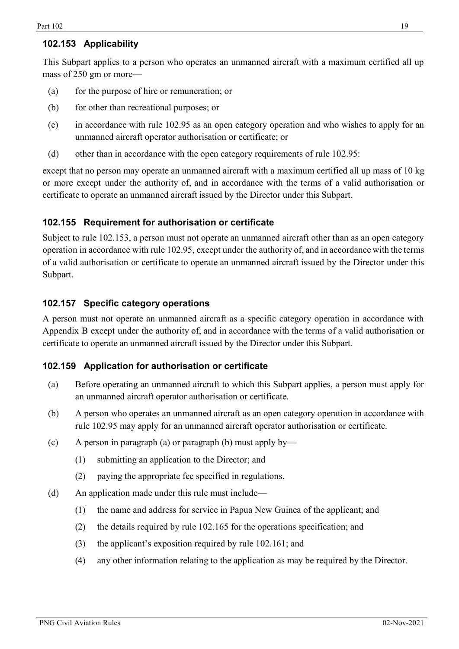## **102.153 Applicability**

This Subpart applies to a person who operates an unmanned aircraft with a maximum certified all up mass of 250 gm or more—

- (a) for the purpose of hire or remuneration; or
- (b) for other than recreational purposes; or
- (c) in accordance with rule 102.95 as an open category operation and who wishes to apply for an unmanned aircraft operator authorisation or certificate; or
- (d) other than in accordance with the open category requirements of rule 102.95:

except that no person may operate an unmanned aircraft with a maximum certified all up mass of 10 kg or more except under the authority of, and in accordance with the terms of a valid authorisation or certificate to operate an unmanned aircraft issued by the Director under this Subpart.

## <span id="page-18-0"></span>**102.155 Requirement for authorisation or certificate**

Subject to rule 102.153, a person must not operate an unmanned aircraft other than as an open category operation in accordance with rule 102.95, except under the authority of, and in accordance with the terms of a valid authorisation or certificate to operate an unmanned aircraft issued by the Director under this Subpart.

## <span id="page-18-1"></span>**102.157 Specific category operations**

A person must not operate an unmanned aircraft as a specific category operation in accordance with Appendix B except under the authority of, and in accordance with the terms of a valid authorisation or certificate to operate an unmanned aircraft issued by the Director under this Subpart.

## <span id="page-18-2"></span>**102.159 Application for authorisation or certificate**

- (a) Before operating an unmanned aircraft to which this Subpart applies, a person must apply for an unmanned aircraft operator authorisation or certificate.
- (b) A person who operates an unmanned aircraft as an open category operation in accordance with rule 102.95 may apply for an unmanned aircraft operator authorisation or certificate.
- (c) A person in paragraph (a) or paragraph (b) must apply by—
	- (1) submitting an application to the Director; and
	- (2) paying the appropriate fee specified in regulations.
- (d) An application made under this rule must include—
	- (1) the name and address for service in Papua New Guinea of the applicant; and
	- (2) the details required by rule 102.165 for the operations specification; and
	- (3) the applicant's exposition required by rule 102.161; and
	- (4) any other information relating to the application as may be required by the Director.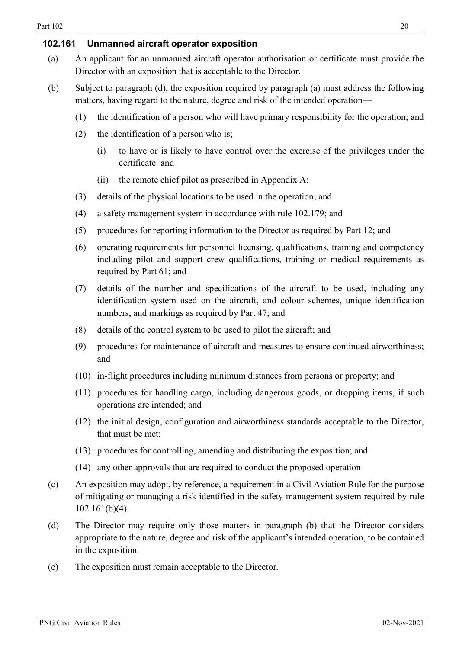## <span id="page-19-0"></span>**102.161 Unmanned aircraft operator exposition**

- (a) An applicant for an unmanned aircraft operator authorisation or certificate must provide the Director with an exposition that is acceptable to the Director.
- (b) Subject to paragraph (d), the exposition required by paragraph (a) must address the following matters, having regard to the nature, degree and risk of the intended operation—
	- (1) the identification of a person who will have primary responsibility for the operation; and
	- (2) the identification of a person who is;
		- (i) to have or is likely to have control over the exercise of the privileges under the certificate: and
		- (ii) the remote chief pilot as prescribed in Appendix A:
	- (3) details of the physical locations to be used in the operation; and
	- (4) a safety management system in accordance with rule 102.179; and
	- (5) procedures for reporting information to the Director as required by Part 12; and
	- (6) operating requirements for personnel licensing, qualifications, training and competency including pilot and support crew qualifications, training or medical requirements as required by Part 61; and
	- (7) details of the number and specifications of the aircraft to be used, including any identification system used on the aircraft, and colour schemes, unique identification numbers, and markings as required by Part 47; and
	- (8) details of the control system to be used to pilot the aircraft; and
	- (9) procedures for maintenance of aircraft and measures to ensure continued airworthiness; and
	- (10) in-flight procedures including minimum distances from persons or property; and
	- (11) procedures for handling cargo, including dangerous goods, or dropping items, if such operations are intended; and
	- (12) the initial design, configuration and airworthiness standards acceptable to the Director, that must be met:
	- (13) procedures for controlling, amending and distributing the exposition; and
	- (14) any other approvals that are required to conduct the proposed operation
- (c) An exposition may adopt, by reference, a requirement in a Civil Aviation Rule for the purpose of mitigating or managing a risk identified in the safety management system required by rule 102.161(b)(4).
- (d) The Director may require only those matters in paragraph (b) that the Director considers appropriate to the nature, degree and risk of the applicant's intended operation, to be contained in the exposition.
- (e) The exposition must remain acceptable to the Director.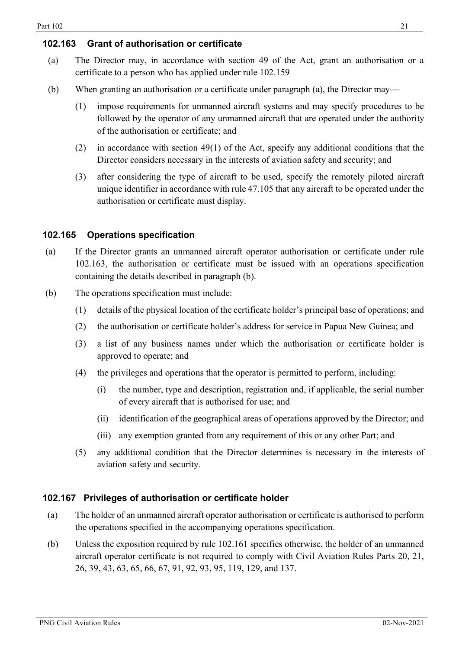## <span id="page-20-0"></span>**102.163 Grant of authorisation or certificate**

- (a) The Director may, in accordance with section 49 of the Act, grant an authorisation or a certificate to a person who has applied under rule 102.159
- (b) When granting an authorisation or a certificate under paragraph (a), the Director may—
	- (1) impose requirements for unmanned aircraft systems and may specify procedures to be followed by the operator of any unmanned aircraft that are operated under the authority of the authorisation or certificate; and
	- (2) in accordance with section 49(1) of the Act, specify any additional conditions that the Director considers necessary in the interests of aviation safety and security; and
	- (3) after considering the type of aircraft to be used, specify the remotely piloted aircraft unique identifier in accordance with rule 47.105 that any aircraft to be operated under the authorisation or certificate must display.

## <span id="page-20-1"></span>**102.165 Operations specification**

- (a) If the Director grants an unmanned aircraft operator authorisation or certificate under rule 102.163, the authorisation or certificate must be issued with an operations specification containing the details described in paragraph (b).
- (b) The operations specification must include:
	- (1) details of the physical location of the certificate holder's principal base of operations; and
	- (2) the authorisation or certificate holder's address for service in Papua New Guinea; and
	- (3) a list of any business names under which the authorisation or certificate holder is approved to operate; and
	- (4) the privileges and operations that the operator is permitted to perform, including:
		- (i) the number, type and description, registration and, if applicable, the serial number of every aircraft that is authorised for use; and
		- (ii) identification of the geographical areas of operations approved by the Director; and
		- (iii) any exemption granted from any requirement of this or any other Part; and
	- (5) any additional condition that the Director determines is necessary in the interests of aviation safety and security.

## <span id="page-20-2"></span>**102.167 Privileges of authorisation or certificate holder**

- (a) The holder of an unmanned aircraft operator authorisation or certificate is authorised to perform the operations specified in the accompanying operations specification.
- (b) Unless the exposition required by rule 102.161 specifies otherwise, the holder of an unmanned aircraft operator certificate is not required to comply with Civil Aviation Rules Parts 20, 21, 26, 39, 43, 63, 65, 66, 67, 91, 92, 93, 95, 119, 129, and 137.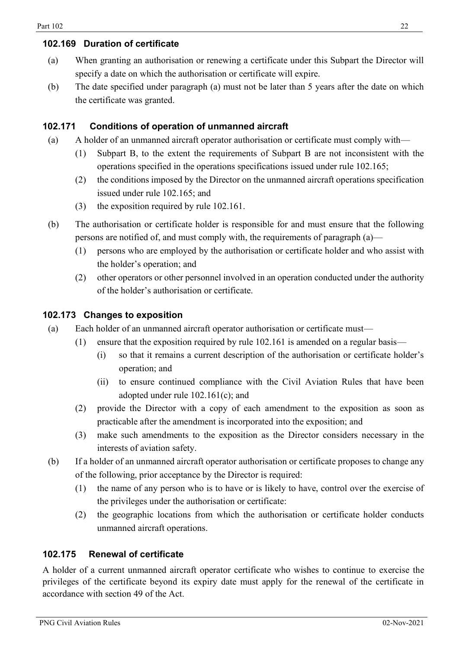## <span id="page-21-0"></span>**102.169 Duration of certificate**

- (a) When granting an authorisation or renewing a certificate under this Subpart the Director will specify a date on which the authorisation or certificate will expire.
- (b) The date specified under paragraph (a) must not be later than 5 years after the date on which the certificate was granted.

## <span id="page-21-1"></span>**102.171 Conditions of operation of unmanned aircraft**

- (a) A holder of an unmanned aircraft operator authorisation or certificate must comply with—
	- (1) Subpart B, to the extent the requirements of Subpart B are not inconsistent with the operations specified in the operations specifications issued under rule 102.165;
	- (2) the conditions imposed by the Director on the unmanned aircraft operations specification issued under rule 102.165; and
	- (3) the exposition required by rule 102.161.
- (b) The authorisation or certificate holder is responsible for and must ensure that the following persons are notified of, and must comply with, the requirements of paragraph (a)—
	- (1) persons who are employed by the authorisation or certificate holder and who assist with the holder's operation; and
	- (2) other operators or other personnel involved in an operation conducted under the authority of the holder's authorisation or certificate.

## <span id="page-21-2"></span>**102.173 Changes to exposition**

- (a) Each holder of an unmanned aircraft operator authorisation or certificate must—
	- (1) ensure that the exposition required by rule 102.161 is amended on a regular basis—
		- (i) so that it remains a current description of the authorisation or certificate holder's operation; and
		- (ii) to ensure continued compliance with the Civil Aviation Rules that have been adopted under rule 102.161(c); and
		- (2) provide the Director with a copy of each amendment to the exposition as soon as practicable after the amendment is incorporated into the exposition; and
		- (3) make such amendments to the exposition as the Director considers necessary in the interests of aviation safety.
- (b) If a holder of an unmanned aircraft operator authorisation or certificate proposes to change any of the following, prior acceptance by the Director is required:
	- (1) the name of any person who is to have or is likely to have, control over the exercise of the privileges under the authorisation or certificate:
	- (2) the geographic locations from which the authorisation or certificate holder conducts unmanned aircraft operations.

## <span id="page-21-3"></span>**102.175 Renewal of certificate**

A holder of a current unmanned aircraft operator certificate who wishes to continue to exercise the privileges of the certificate beyond its expiry date must apply for the renewal of the certificate in accordance with section 49 of the Act.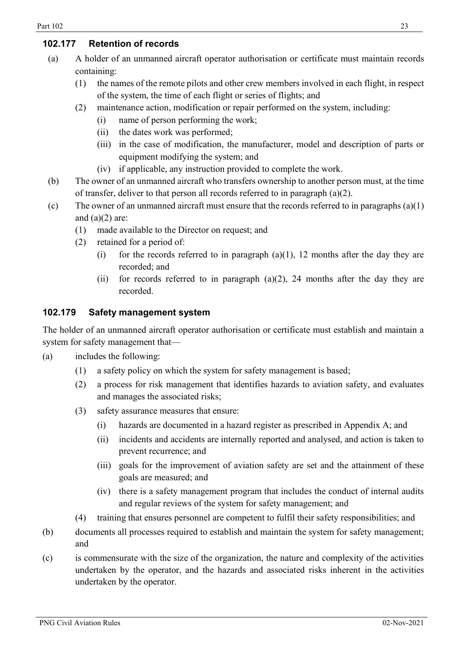## <span id="page-22-0"></span>**102.177 Retention of records**

- (a) A holder of an unmanned aircraft operator authorisation or certificate must maintain records containing:
	- (1) the names of the remote pilots and other crew members involved in each flight, in respect of the system, the time of each flight or series of flights; and
	- (2) maintenance action, modification or repair performed on the system, including:
		- (i) name of person performing the work;
		- (ii) the dates work was performed;
		- (iii) in the case of modification, the manufacturer, model and description of parts or equipment modifying the system; and
		- (iv) if applicable, any instruction provided to complete the work.
- (b) The owner of an unmanned aircraft who transfers ownership to another person must, at the time of transfer, deliver to that person all records referred to in paragraph (a)(2).
- (c) The owner of an unmanned aircraft must ensure that the records referred to in paragraphs  $(a)(1)$ and  $(a)(2)$  are:
	- (1) made available to the Director on request; and
	- (2) retained for a period of:
		- (i) for the records referred to in paragraph  $(a)(1)$ , 12 months after the day they are recorded; and
		- (ii) for records referred to in paragraph  $(a)(2)$ , 24 months after the day they are recorded.

## <span id="page-22-1"></span>**102.179 Safety management system**

The holder of an unmanned aircraft operator authorisation or certificate must establish and maintain a system for safety management that—

- (a) includes the following:
	- (1) a safety policy on which the system for safety management is based;
	- (2) a process for risk management that identifies hazards to aviation safety, and evaluates and manages the associated risks;
	- (3) safety assurance measures that ensure:
		- (i) hazards are documented in a hazard register as prescribed in Appendix A; and
		- (ii) incidents and accidents are internally reported and analysed, and action is taken to prevent recurrence; and
		- (iii) goals for the improvement of aviation safety are set and the attainment of these goals are measured; and
		- (iv) there is a safety management program that includes the conduct of internal audits and regular reviews of the system for safety management; and
	- (4) training that ensures personnel are competent to fulfil their safety responsibilities; and
- (b) documents all processes required to establish and maintain the system for safety management; and
- (c) is commensurate with the size of the organization, the nature and complexity of the activities undertaken by the operator, and the hazards and associated risks inherent in the activities undertaken by the operator.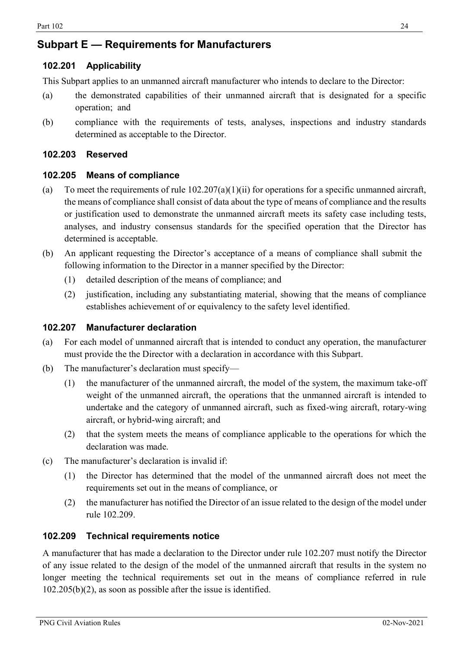## <span id="page-23-0"></span>**Subpart E — Requirements for Manufacturers**

## <span id="page-23-1"></span>**102.201 Applicability**

This Subpart applies to an unmanned aircraft manufacturer who intends to declare to the Director:

- (a) the demonstrated capabilities of their unmanned aircraft that is designated for a specific operation; and
- (b) compliance with the requirements of tests, analyses, inspections and industry standards determined as acceptable to the Director.

## <span id="page-23-2"></span>**102.203 Reserved**

#### <span id="page-23-3"></span>**102.205 Means of compliance**

- (a) To meet the requirements of rule  $102.207(a)(1)(ii)$  for operations for a specific unmanned aircraft, the means of compliance shall consist of data about the type of means of compliance and the results or justification used to demonstrate the unmanned aircraft meets its safety case including tests, analyses, and industry consensus standards for the specified operation that the Director has determined is acceptable.
- (b) An applicant requesting the Director's acceptance of a means of compliance shall submit the following information to the Director in a manner specified by the Director:
	- (1) detailed description of the means of compliance; and
	- (2) justification, including any substantiating material, showing that the means of compliance establishes achievement of or equivalency to the safety level identified.

### <span id="page-23-4"></span>**102.207 Manufacturer declaration**

- (a) For each model of unmanned aircraft that is intended to conduct any operation, the manufacturer must provide the the Director with a declaration in accordance with this Subpart.
- (b) The manufacturer's declaration must specify—
	- (1) the manufacturer of the unmanned aircraft, the model of the system, the maximum take-off weight of the unmanned aircraft, the operations that the unmanned aircraft is intended to undertake and the category of unmanned aircraft, such as fixed-wing aircraft, rotary-wing aircraft, or hybrid-wing aircraft; and
	- (2) that the system meets the means of compliance applicable to the operations for which the declaration was made.
- (c) The manufacturer's declaration is invalid if:
	- (1) the Director has determined that the model of the unmanned aircraft does not meet the requirements set out in the means of compliance, or
	- (2) the manufacturer has notified the Director of an issue related to the design of the model under rule 102.209.

#### <span id="page-23-5"></span>**102.209 Technical requirements notice**

A manufacturer that has made a declaration to the Director under rule 102.207 must notify the Director of any issue related to the design of the model of the unmanned aircraft that results in the system no longer meeting the technical requirements set out in the means of compliance referred in rule 102.205(b)(2), as soon as possible after the issue is identified.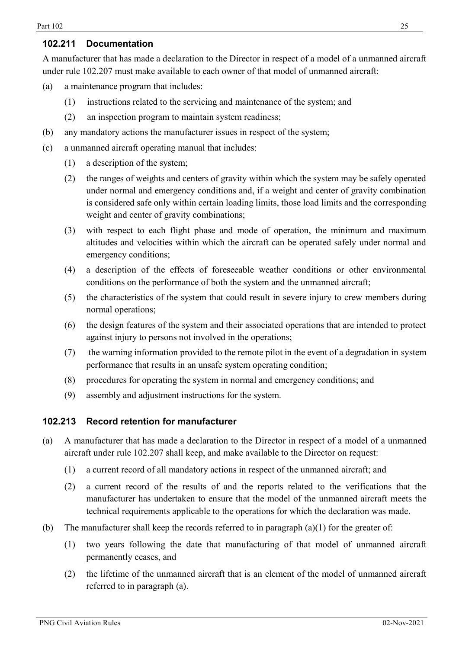## <span id="page-24-0"></span>**102.211 Documentation**

A manufacturer that has made a declaration to the Director in respect of a model of a unmanned aircraft under rule 102.207 must make available to each owner of that model of unmanned aircraft:

- (a) a maintenance program that includes:
	- (1) instructions related to the servicing and maintenance of the system; and
	- (2) an inspection program to maintain system readiness;
- (b) any mandatory actions the manufacturer issues in respect of the system;
- (c) a unmanned aircraft operating manual that includes:
	- (1) a description of the system;
	- (2) the ranges of weights and centers of gravity within which the system may be safely operated under normal and emergency conditions and, if a weight and center of gravity combination is considered safe only within certain loading limits, those load limits and the corresponding weight and center of gravity combinations;
	- (3) with respect to each flight phase and mode of operation, the minimum and maximum altitudes and velocities within which the aircraft can be operated safely under normal and emergency conditions;
	- (4) a description of the effects of foreseeable weather conditions or other environmental conditions on the performance of both the system and the unmanned aircraft;
	- (5) the characteristics of the system that could result in severe injury to crew members during normal operations;
	- (6) the design features of the system and their associated operations that are intended to protect against injury to persons not involved in the operations;
	- (7) the warning information provided to the remote pilot in the event of a degradation in system performance that results in an unsafe system operating condition;
	- (8) procedures for operating the system in normal and emergency conditions; and
	- (9) assembly and adjustment instructions for the system.

## <span id="page-24-1"></span>**102.213 Record retention for manufacturer**

- (a) A manufacturer that has made a declaration to the Director in respect of a model of a unmanned aircraft under rule 102.207 shall keep, and make available to the Director on request:
	- (1) a current record of all mandatory actions in respect of the unmanned aircraft; and
	- (2) a current record of the results of and the reports related to the verifications that the manufacturer has undertaken to ensure that the model of the unmanned aircraft meets the technical requirements applicable to the operations for which the declaration was made.
- (b) The manufacturer shall keep the records referred to in paragraph  $(a)(1)$  for the greater of:
	- (1) two years following the date that manufacturing of that model of unmanned aircraft permanently ceases, and
	- (2) the lifetime of the unmanned aircraft that is an element of the model of unmanned aircraft referred to in paragraph (a).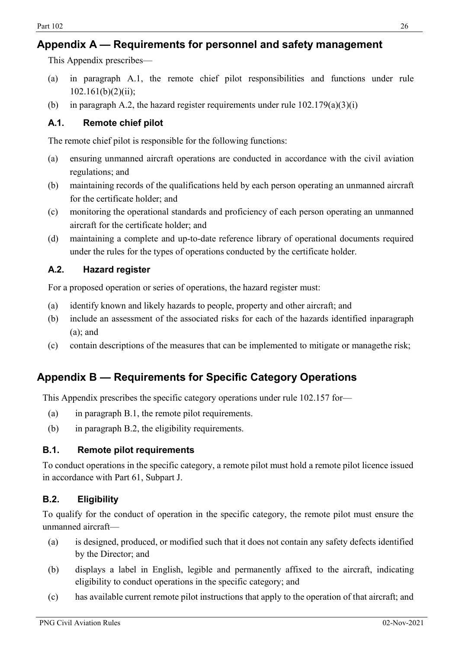## <span id="page-25-0"></span>**Appendix A — Requirements for personnel and safety management**

This Appendix prescribes—

- (a) in paragraph A.1, the remote chief pilot responsibilities and functions under rule  $102.161(b)(2)(ii);$
- (b) in paragraph A.2, the hazard register requirements under rule  $102.179(a)(3)(i)$

## <span id="page-25-1"></span>**A.1. Remote chief pilot**

The remote chief pilot is responsible for the following functions:

- (a) ensuring unmanned aircraft operations are conducted in accordance with the civil aviation regulations; and
- (b) maintaining records of the qualifications held by each person operating an unmanned aircraft for the certificate holder; and
- (c) monitoring the operational standards and proficiency of each person operating an unmanned aircraft for the certificate holder; and
- (d) maintaining a complete and up-to-date reference library of operational documents required under the rules for the types of operations conducted by the certificate holder.

## <span id="page-25-2"></span>**A.2. Hazard register**

For a proposed operation or series of operations, the hazard register must:

- (a) identify known and likely hazards to people, property and other aircraft; and
- (b) include an assessment of the associated risks for each of the hazards identified inparagraph (a); and
- (c) contain descriptions of the measures that can be implemented to mitigate or managethe risk;

## <span id="page-25-3"></span>**Appendix B — Requirements for Specific Category Operations**

This Appendix prescribes the specific category operations under rule 102.157 for—

- (a) in paragraph B.1, the remote pilot requirements.
- (b) in paragraph B.2, the eligibility requirements.

## <span id="page-25-4"></span>**B.1. Remote pilot requirements**

To conduct operations in the specific category, a remote pilot must hold a remote pilot licence issued in accordance with Part 61, Subpart J.

## <span id="page-25-5"></span>**B.2. Eligibility**

To qualify for the conduct of operation in the specific category, the remote pilot must ensure the unmanned aircraft—

- (a) is designed, produced, or modified such that it does not contain any safety defects identified by the Director; and
- (b) displays a label in English, legible and permanently affixed to the aircraft, indicating eligibility to conduct operations in the specific category; and
- (c) has available current remote pilot instructions that apply to the operation of that aircraft; and